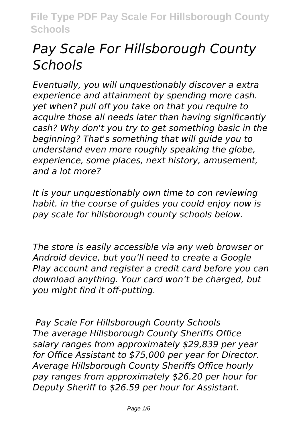# *Pay Scale For Hillsborough County Schools*

*Eventually, you will unquestionably discover a extra experience and attainment by spending more cash. yet when? pull off you take on that you require to acquire those all needs later than having significantly cash? Why don't you try to get something basic in the beginning? That's something that will guide you to understand even more roughly speaking the globe, experience, some places, next history, amusement, and a lot more?*

*It is your unquestionably own time to con reviewing habit. in the course of guides you could enjoy now is pay scale for hillsborough county schools below.*

*The store is easily accessible via any web browser or Android device, but you'll need to create a Google Play account and register a credit card before you can download anything. Your card won't be charged, but you might find it off-putting.*

*Pay Scale For Hillsborough County Schools The average Hillsborough County Sheriffs Office salary ranges from approximately \$29,839 per year for Office Assistant to \$75,000 per year for Director. Average Hillsborough County Sheriffs Office hourly pay ranges from approximately \$26.20 per hour for Deputy Sheriff to \$26.59 per hour for Assistant.*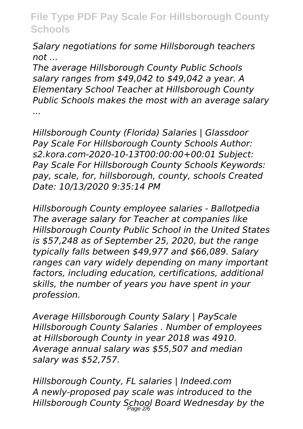*Salary negotiations for some Hillsborough teachers not ...*

*The average Hillsborough County Public Schools salary ranges from \$49,042 to \$49,042 a year. A Elementary School Teacher at Hillsborough County Public Schools makes the most with an average salary ...*

*Hillsborough County (Florida) Salaries | Glassdoor Pay Scale For Hillsborough County Schools Author: s2.kora.com-2020-10-13T00:00:00+00:01 Subject: Pay Scale For Hillsborough County Schools Keywords: pay, scale, for, hillsborough, county, schools Created Date: 10/13/2020 9:35:14 PM*

*Hillsborough County employee salaries - Ballotpedia The average salary for Teacher at companies like Hillsborough County Public School in the United States is \$57,248 as of September 25, 2020, but the range typically falls between \$49,977 and \$66,089. Salary ranges can vary widely depending on many important factors, including education, certifications, additional skills, the number of years you have spent in your profession.*

*Average Hillsborough County Salary | PayScale Hillsborough County Salaries . Number of employees at Hillsborough County in year 2018 was 4910. Average annual salary was \$55,507 and median salary was \$52,757.*

*Hillsborough County, FL salaries | Indeed.com A newly-proposed pay scale was introduced to the Hillsborough County School Board Wednesday by the* Page 2/6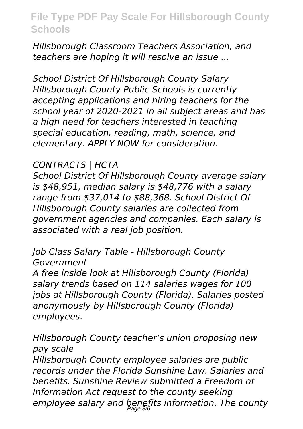*Hillsborough Classroom Teachers Association, and teachers are hoping it will resolve an issue ...*

*School District Of Hillsborough County Salary Hillsborough County Public Schools is currently accepting applications and hiring teachers for the school year of 2020-2021 in all subject areas and has a high need for teachers interested in teaching special education, reading, math, science, and elementary. APPLY NOW for consideration.*

#### *CONTRACTS | HCTA*

*School District Of Hillsborough County average salary is \$48,951, median salary is \$48,776 with a salary range from \$37,014 to \$88,368. School District Of Hillsborough County salaries are collected from government agencies and companies. Each salary is associated with a real job position.*

*Job Class Salary Table - Hillsborough County Government*

*A free inside look at Hillsborough County (Florida) salary trends based on 114 salaries wages for 100 jobs at Hillsborough County (Florida). Salaries posted anonymously by Hillsborough County (Florida) employees.*

*Hillsborough County teacher's union proposing new pay scale Hillsborough County employee salaries are public records under the Florida Sunshine Law. Salaries and benefits. Sunshine Review submitted a Freedom of Information Act request to the county seeking employee salary and benefits information. The county* Page 3/6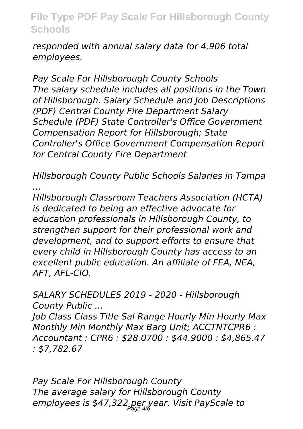*responded with annual salary data for 4,906 total employees.*

*Pay Scale For Hillsborough County Schools The salary schedule includes all positions in the Town of Hillsborough. Salary Schedule and Job Descriptions (PDF) Central County Fire Department Salary Schedule (PDF) State Controller's Office Government Compensation Report for Hillsborough; State Controller's Office Government Compensation Report for Central County Fire Department*

*Hillsborough County Public Schools Salaries in Tampa ...*

*Hillsborough Classroom Teachers Association (HCTA) is dedicated to being an effective advocate for education professionals in Hillsborough County, to strengthen support for their professional work and development, and to support efforts to ensure that every child in Hillsborough County has access to an excellent public education. An affiliate of FEA, NEA, AFT, AFL-CIO.*

*SALARY SCHEDULES 2019 - 2020 - Hillsborough County Public ...*

*Job Class Class Title Sal Range Hourly Min Hourly Max Monthly Min Monthly Max Barg Unit; ACCTNTCPR6 : Accountant : CPR6 : \$28.0700 : \$44.9000 : \$4,865.47 : \$7,782.67*

*Pay Scale For Hillsborough County The average salary for Hillsborough County employees is \$47,322 per year. Visit PayScale to* Page 4/6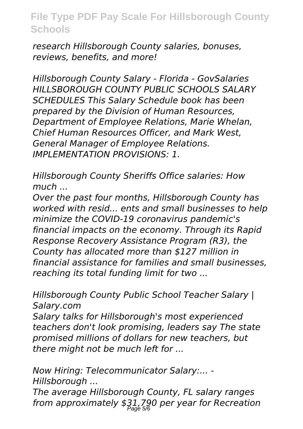*research Hillsborough County salaries, bonuses, reviews, benefits, and more!*

*Hillsborough County Salary - Florida - GovSalaries HILLSBOROUGH COUNTY PUBLIC SCHOOLS SALARY SCHEDULES This Salary Schedule book has been prepared by the Division of Human Resources, Department of Employee Relations, Marie Whelan, Chief Human Resources Officer, and Mark West, General Manager of Employee Relations. IMPLEMENTATION PROVISIONS: 1.*

*Hillsborough County Sheriffs Office salaries: How much ...*

*Over the past four months, Hillsborough County has worked with resid... ents and small businesses to help minimize the COVID-19 coronavirus pandemic's financial impacts on the economy. Through its Rapid Response Recovery Assistance Program (R3), the County has allocated more than \$127 million in financial assistance for families and small businesses, reaching its total funding limit for two ...*

*Hillsborough County Public School Teacher Salary | Salary.com*

*Salary talks for Hillsborough's most experienced teachers don't look promising, leaders say The state promised millions of dollars for new teachers, but there might not be much left for ...*

*Now Hiring: Telecommunicator Salary:... - Hillsborough ...*

*The average Hillsborough County, FL salary ranges from approximately \$31,790 per year for Recreation* Page 5/6